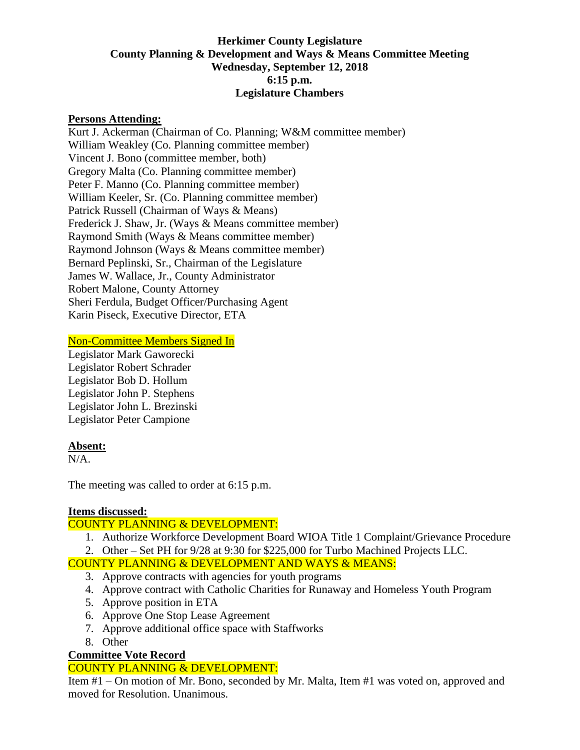### **Herkimer County Legislature County Planning & Development and Ways & Means Committee Meeting Wednesday, September 12, 2018 6:15 p.m. Legislature Chambers**

#### **Persons Attending:**

Kurt J. Ackerman (Chairman of Co. Planning; W&M committee member) William Weakley (Co. Planning committee member) Vincent J. Bono (committee member, both) Gregory Malta (Co. Planning committee member) Peter F. Manno (Co. Planning committee member) William Keeler, Sr. (Co. Planning committee member) Patrick Russell (Chairman of Ways & Means) Frederick J. Shaw, Jr. (Ways & Means committee member) Raymond Smith (Ways & Means committee member) Raymond Johnson (Ways & Means committee member) Bernard Peplinski, Sr., Chairman of the Legislature James W. Wallace, Jr., County Administrator Robert Malone, County Attorney Sheri Ferdula, Budget Officer/Purchasing Agent Karin Piseck, Executive Director, ETA

#### Non-Committee Members Signed In

Legislator Mark Gaworecki Legislator Robert Schrader Legislator Bob D. Hollum Legislator John P. Stephens Legislator John L. Brezinski Legislator Peter Campione

#### **Absent:**

 $N/A$ 

The meeting was called to order at 6:15 p.m.

# **Items discussed:**

# COUNTY PLANNING & DEVELOPMENT:

- 1. Authorize Workforce Development Board WIOA Title 1 Complaint/Grievance Procedure
- 2. Other Set PH for 9/28 at 9:30 for \$225,000 for Turbo Machined Projects LLC.

# COUNTY PLANNING & DEVELOPMENT AND WAYS & MEANS:

- 3. Approve contracts with agencies for youth programs
- 4. Approve contract with Catholic Charities for Runaway and Homeless Youth Program
- 5. Approve position in ETA
- 6. Approve One Stop Lease Agreement
- 7. Approve additional office space with Staffworks
- 8. Other

# **Committee Vote Record**

# COUNTY PLANNING & DEVELOPMENT:

Item #1 – On motion of Mr. Bono, seconded by Mr. Malta, Item #1 was voted on, approved and moved for Resolution. Unanimous.